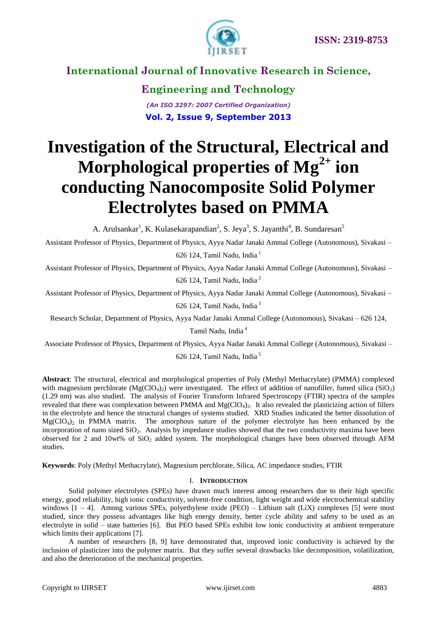

**Engineering and Technology** *(An ISO 3297: 2007 Certified Organization)* **Vol. 2, Issue 9, September 2013**

# **Investigation of the Structural, Electrical and Morphological properties of Mg2+ ion conducting Nanocomposite Solid Polymer Electrolytes based on PMMA**

A. Arulsankar<sup>1</sup>, K. Kulasekarapandian<sup>2</sup>, S. Jeya<sup>3</sup>, S. Jayanthi<sup>4</sup>, B. Sundaresan<sup>5</sup>

Assistant Professor of Physics, Department of Physics, Ayya Nadar Janaki Ammal College (Autonomous), Sivakasi – 626 124, Tamil Nadu, India<sup>1</sup>

Assistant Professor of Physics, Department of Physics, Ayya Nadar Janaki Ammal College (Autonomous), Sivakasi – 626 124, Tamil Nadu, India <sup>2</sup>

Assistant Professor of Physics, Department of Physics, Ayya Nadar Janaki Ammal College (Autonomous), Sivakasi – 626 124, Tamil Nadu, India <sup>3</sup>

Research Scholar, Department of Physics, Ayya Nadar Janaki Ammal College (Autonomous), Sivakasi – 626 124,

Tamil Nadu, India <sup>4</sup>

Associate Professor of Physics, Department of Physics, Ayya Nadar Janaki Ammal College (Autonomous), Sivakasi –

626 124, Tamil Nadu, India <sup>5</sup>

**Abstract**: The structural, electrical and morphological properties of Poly (Methyl Methacrylate) (PMMA) complexed with magnesium perchlorate  $(Mg(CIO_4)_2)$  were investigated. The effect of addition of nanofiller, fumed silica (SiO<sub>2</sub>) (1.29 nm) was also studied. The analysis of Fourier Transform Infrared Spectroscopy (FTIR) spectra of the samples revealed that there was complexation between PMMA and  $Mg(CIO<sub>4</sub>)<sub>2</sub>$ . It also revealed the plasticizing action of fillers in the electrolyte and hence the structural changes of systems studied. XRD Studies indicated the better dissolution of  $Mg(CIO<sub>4</sub>)<sub>2</sub>$  in PMMA matrix. The amorphous nature of the polymer electrolyte has been enhanced by the incorporation of nano sized SiO<sub>2</sub>. Analysis by impedance studies showed that the two conductivity maxima have been observed for 2 and 10wt% of  $SiO<sub>2</sub>$  added system. The morphological changes have been observed through AFM studies.

**Keywords**: Poly (Methyl Methacrylate), Magnesium perchlorate, Silica, AC impedance studies, FTIR

#### I. **INTRODUCTION**

Solid polymer electrolytes (SPEs) have drawn much interest among researchers due to their high specific energy, good reliability, high ionic conductivity, solvent-free condition, light weight and wide electrochemical stability windows  $[1 - 4]$ . Among various SPEs, polyethylene oxide (PEO) – Lithium salt (LiX) complexes [5] were most studied, since they possess advantages like high energy density, better cycle ability and safety to be used as an electrolyte in solid – state batteries [6]. But PEO based SPEs exhibit low ionic conductivity at ambient temperature which limits their applications [7].

A number of researchers [8, 9] have demonstrated that, improved ionic conductivity is achieved by the inclusion of plasticizer into the polymer matrix. But they suffer several drawbacks like decomposition, volatilization, and also the deterioration of the mechanical properties.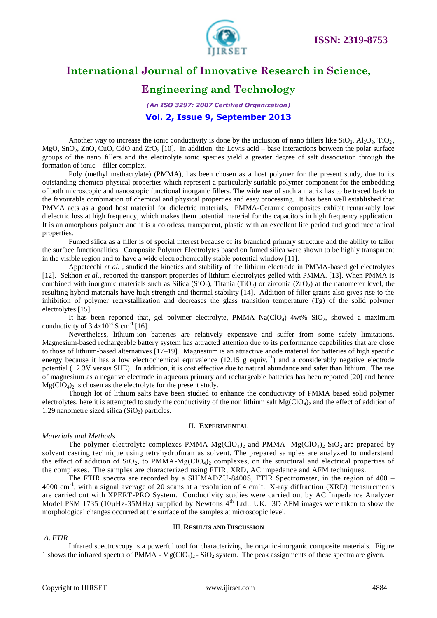

### **Engineering and Technology**

*(An ISO 3297: 2007 Certified Organization)* **Vol. 2, Issue 9, September 2013**

Another way to increase the ionic conductivity is done by the inclusion of nano fillers like  $SiO_2$ ,  $Al_2O_3$ ,  $TiO_2$ , MgO, SnO<sub>2</sub>, ZnO, CuO, CdO and ZrO<sub>2</sub> [10]. In addition, the Lewis acid – base interactions between the polar surface groups of the nano fillers and the electrolyte ionic species yield a greater degree of salt dissociation through the formation of ionic – filler complex.

Poly (methyl methacrylate) (PMMA), has been chosen as a host polymer for the present study, due to its outstanding chemico-physical properties which represent a particularly suitable polymer component for the embedding of both microscopic and nanoscopic functional inorganic fillers. The wide use of such a matrix has to be traced back to the favourable combination of chemical and physical properties and easy processing. It has been well established that PMMA acts as a good host material for dielectric materials. PMMA-Ceramic composites exhibit remarkably low dielectric loss at high frequency, which makes them potential material for the capacitors in high frequency application. It is an amorphous polymer and it is a colorless, transparent, plastic with an excellent life period and good mechanical properties.

Fumed silica as a filler is of special interest because of its branched primary structure and the ability to tailor the surface functionalities. Composite Polymer Electrolytes based on fumed silica were shown to be highly transparent in the visible region and to have a wide electrochemically stable potential window [11].

Appetecchi *et al. ,* studied the kinetics and stability of the lithium electrode in PMMA-based gel electrolytes [12]. Sekhon *et al.,* reported the transport properties of lithium electrolytes gelled with PMMA. [13]. When PMMA is combined with inorganic materials such as Silica (SiO<sub>2</sub>), Titania (TiO<sub>2</sub>) or zirconia (ZrO<sub>2</sub>) at the nanometer level, the resulting hybrid materials have high strength and thermal stability [14]. Addition of filler grains also gives rise to the inhibition of polymer recrystallization and decreases the glass transition temperature (Tg) of the solid polymer electrolytes [15].

It has been reported that, gel polymer electrolyte, PMMA–Na(ClO<sub>4</sub>)–4wt% SiO<sub>2</sub>, showed a maximum conductivity of  $3.4 \times 10^{-3}$  S cm<sup>-1</sup> [16].

Nevertheless, lithium-ion batteries are relatively expensive and suffer from some safety limitations. Magnesium-based rechargeable battery system has attracted attention due to its performance capabilities that are close to those of lithium-based alternatives [17–19]. Magnesium is an attractive anode material for batteries of high specific energy because it has a low electrochemical equivalence (12.15 g equiv.<sup>-1</sup>) and a considerably negative electrode potential (−2.3V versus SHE). In addition, it is cost effective due to natural abundance and safer than lithium. The use of magnesium as a negative electrode in aqueous primary and rechargeable batteries has been reported [20] and hence  $Mg(CIO<sub>4</sub>)<sub>2</sub>$  is chosen as the electrolyte for the present study.

Though lot of lithium salts have been studied to enhance the conductivity of PMMA based solid polymer electrolytes, here it is attempted to study the conductivity of the non lithium salt  $Mg(CIO_4)$ , and the effect of addition of 1.29 nanometre sized silica  $(SiO<sub>2</sub>)$  particles.

#### II. **EXPERIMENTAL**

#### *Materials and Methods*

The polymer electrolyte complexes PMMA-Mg(ClO<sub>4</sub>)<sub>2</sub> and PMMA- Mg(ClO<sub>4</sub>)<sub>2</sub>-SiO<sub>2</sub> are prepared by solvent casting technique using tetrahydrofuran as solvent. The prepared samples are analyzed to understand the effect of addition of  $SiO_2$ , to PMMA-Mg(ClO<sub>4</sub>)<sub>2</sub> complexes, on the structural and electrical properties of the complexes. The samples are characterized using FTIR, XRD, AC impedance and AFM techniques.

The FTIR spectra are recorded by a SHIMADZU-8400S, FTIR Spectrometer, in the region of 400 – 4000 cm<sup>-1</sup>, with a signal average of 20 scans at a resolution of 4 cm<sup>-1</sup>. X-ray diffraction (XRD) measurements are carried out with XPERT-PRO System. Conductivity studies were carried out by AC Impedance Analyzer Model PSM 1735 (10µHz-35MHz) supplied by Newtons 4<sup>th</sup> Ltd., UK. 3D AFM images were taken to show the morphological changes occurred at the surface of the samples at microscopic level.

#### III. **RESULTS AND DISCUSSION**

#### *A. FTIR*

Infrared spectroscopy is a powerful tool for characterizing the organic-inorganic composite materials. Figure 1 shows the infrared spectra of PMMA -  $Mg(CIO_4)$  - SiO<sub>2</sub> system. The peak assignments of these spectra are given.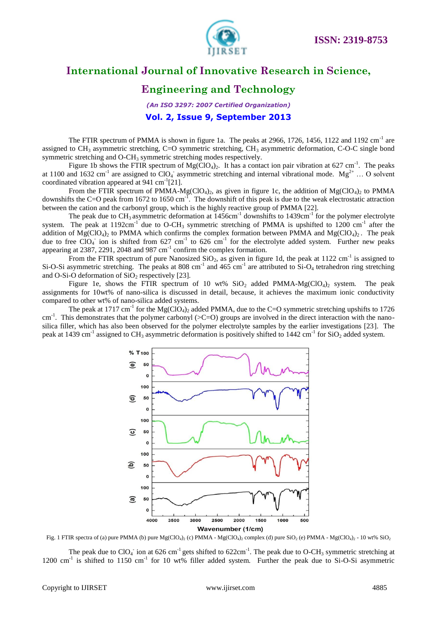

#### **Engineering and Technology**

*(An ISO 3297: 2007 Certified Organization)* **Vol. 2, Issue 9, September 2013**

The FTIR spectrum of PMMA is shown in figure 1a. The peaks at 2966, 1726, 1456, 1122 and 1192 cm<sup>-1</sup> are assigned to CH<sub>3</sub> asymmetric stretching, C=O symmetric stretching, CH<sub>3</sub> asymmetric deformation, C-O-C single bond symmetric stretching and O-CH<sub>3</sub> symmetric stretching modes respectively.

Figure 1b shows the FTIR spectrum of  $Mg(CIO_4)_2$ . It has a contact ion pair vibration at 627 cm<sup>-1</sup>. The peaks at 1100 and 1632 cm<sup>-1</sup> are assigned to ClO<sub>4</sub> asymmetric stretching and internal vibrational mode. Mg<sup>2+</sup> ... O solvent coordinated vibration appeared at 941 cm<sup>-1</sup>[21].

From the FTIR spectrum of PMMA-Mg(ClO<sub>4</sub>)<sub>2</sub>, as given in figure 1c, the addition of Mg(ClO<sub>4</sub>)<sub>2</sub> to PMMA downshifts the C=O peak from 1672 to 1650 cm<sup>-1</sup>. The downshift of this peak is due to the weak electrostatic attraction between the cation and the carbonyl group, which is the highly reactive group of PMMA [22].

The peak due to CH<sub>3</sub> asymmetric deformation at  $1456 \text{cm}^{-1}$  downshifts to  $1439 \text{cm}^{-1}$  for the polymer electrolyte system. The peak at 1192cm<sup>-1</sup> due to O-CH<sub>3</sub> symmetric stretching of PMMA is upshifted to 1200 cm<sup>-1</sup> after the addition of  $Mg(C|O_4)$ <sub>2</sub> to PMMA which confirms the complex formation between PMMA and  $Mg(C|O_4)$ <sub>2</sub>. The peak due to free ClO<sub>4</sub> ion is shifted from 627 cm<sup>-1</sup> to 626 cm<sup>-1</sup> for the electrolyte added system. Further new peaks appearing at  $2387, 2291, 2048$  and  $987 \text{ cm}^{-1}$  confirm the complex formation.

From the FTIR spectrum of pure Nanosized  $SiO_2$ , as given in figure 1d, the peak at 1122 cm<sup>-1</sup> is assigned to Si-O-Si asymmetric stretching. The peaks at 808 cm<sup>-1</sup> and 465 cm<sup>-1</sup> are attributed to Si-O<sub>4</sub> tetrahedron ring stretching and O-Si-O deformation of  $SiO<sub>2</sub>$  respectively [23].

Figure 1e, shows the FTIR spectrum of 10 wt%  $SiO<sub>2</sub>$  added PMMA-Mg(ClO<sub>4</sub>)<sub>2</sub> system. The peak assignments for 10wt% of nano-silica is discussed in detail, because, it achieves the maximum ionic conductivity compared to other wt% of nano-silica added systems.

The peak at 1717 cm<sup>-1</sup> for the Mg(ClO<sub>4</sub>)<sub>2</sub> added PMMA, due to the C=O symmetric stretching upshifts to 1726 cm<sup>-1</sup>. This demonstrates that the polymer carbonyl (>C=O) groups are involved in the direct interaction with the nanosilica filler, which has also been observed for the polymer electrolyte samples by the earlier investigations [23]. The peak at 1439 cm<sup>-1</sup> assigned to CH<sub>3</sub> asymmetric deformation is positively shifted to 1442 cm<sup>-1</sup> for SiO<sub>2</sub> added system.



Fig. 1 FTIR spectra of (a) pure PMMA (b) pure  $Mg(CIO_4)_2$  (c) PMMA -  $Mg(CIO_4)_2$  complex (d) pure  $SiO_2$  (e) PMMA -  $Mg(CIO_4)_2$  - 10 wt%  $SiO_2$ 

The peak due to ClO<sub>4</sub> ion at 626 cm<sup>-1</sup> gets shifted to 622cm<sup>-1</sup>. The peak due to O-CH<sub>3</sub> symmetric stretching at 1200 cm<sup>-1</sup> is shifted to 1150 cm<sup>-1</sup> for 10 wt% filler added system. Further the peak due to Si-O-Si asymmetric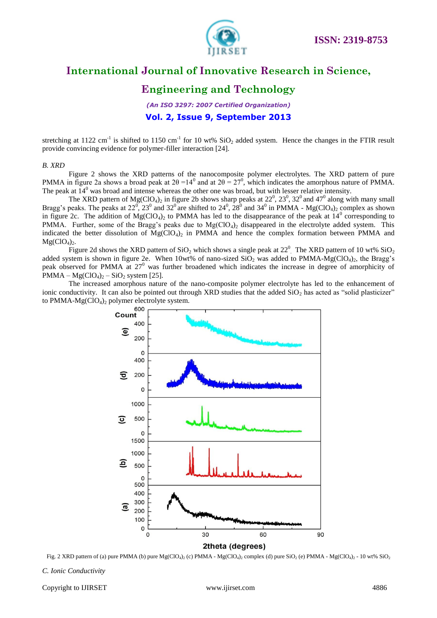

### **Engineering and Technology**

*(An ISO 3297: 2007 Certified Organization)* **Vol. 2, Issue 9, September 2013**

stretching at 1122 cm<sup>-1</sup> is shifted to 1150 cm<sup>-1</sup> for 10 wt%  $SiO_2$  added system. Hence the changes in the FTIR result provide convincing evidence for polymer-filler interaction [24].

#### *B. XRD*

Figure 2 shows the XRD patterns of the nanocomposite polymer electrolytes. The XRD pattern of pure PMMA in figure 2a shows a broad peak at  $2\theta = 14^0$  and at  $2\theta = 27^0$ , which indicates the amorphous nature of PMMA. The peak at  $14^{\circ}$  was broad and intense whereas the other one was broad, but with lesser relative intensity.

The XRD pattern of  $Mg(CIO_4)_2$  in figure 2b shows sharp peaks at  $22^0$ ,  $23^0$ ,  $32^0$  and  $47^0$  along with many small Bragg's peaks. The peaks at 22<sup>0</sup>, 23<sup>0</sup> and 32<sup>0</sup> are shifted to 24<sup>0</sup>, 28<sup>0</sup> and 34<sup>0</sup> in PMMA - Mg(ClO<sub>4</sub>)<sub>2</sub> complex as shown in figure 2c. The addition of  $Mg(CIO<sub>4</sub>)<sub>2</sub>$  to PMMA has led to the disappearance of the peak at  $14^{\circ}$  corresponding to PMMA. Further, some of the Bragg's peaks due to  $Mg(CIO<sub>4</sub>)<sub>2</sub>$  disappeared in the electrolyte added system. This indicated the better dissolution of  $Mg(C|O_4)_2$  in PMMA and hence the complex formation between PMMA and  $Mg(CIO<sub>4</sub>)<sub>2</sub>$ .

Figure 2d shows the XRD pattern of  $SiO_2$  which shows a single peak at  $22^0$ . The XRD pattern of 10 wt%  $SiO_2$ added system is shown in figure 2e. When 10wt% of nano-sized  $SiO_2$  was added to PMMA-Mg(ClO<sub>4</sub>)<sub>2</sub>, the Bragg's peak observed for PMMA at 27<sup>0</sup> was further broadened which indicates the increase in degree of amorphicity of  $PMMA - Mg(CIO<sub>4</sub>)<sub>2</sub> - SiO<sub>2</sub> system [25].$ 

The increased amorphous nature of the nano-composite polymer electrolyte has led to the enhancement of ionic conductivity. It can also be pointed out through XRD studies that the added  $SiO<sub>2</sub>$  has acted as "solid plasticizer" to PMMA-Mg(ClO<sub>4</sub>)<sub>2</sub> polymer electrolyte system.



Fig. 2 XRD pattern of (a) pure PMMA (b) pure  $Mg(ClO<sub>4</sub>)<sub>2</sub>$  (c) PMMA -  $Mg(ClO<sub>4</sub>)<sub>2</sub>$  complex (d) pure SiO<sub>2</sub> (e) PMMA -  $Mg(ClO<sub>4</sub>)<sub>2</sub>$  - 10 wt% SiO<sub>2</sub>

*C. Ionic Conductivity*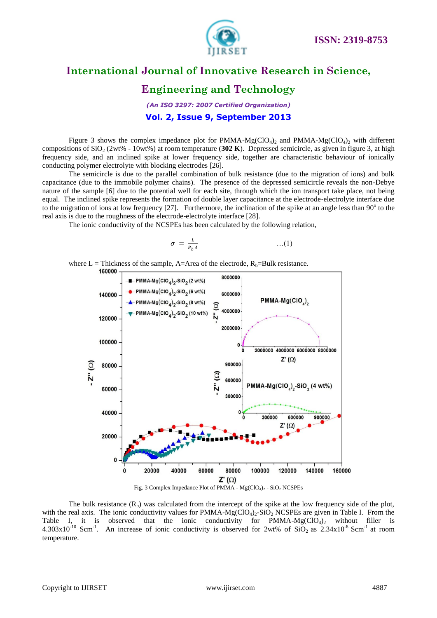

### **Engineering and Technology**

*(An ISO 3297: 2007 Certified Organization)* **Vol. 2, Issue 9, September 2013**

Figure 3 shows the complex impedance plot for PMMA-Mg(ClO<sub>4</sub>)<sub>2</sub> and PMMA-Mg(ClO<sub>4</sub>)<sub>2</sub> with different compositions of SiO<sub>2</sub> (2wt% - 10wt%) at room temperature (302 K). Depressed semicircle, as given in figure 3, at high frequency side, and an inclined spike at lower frequency side, together are characteristic behaviour of ionically conducting polymer electrolyte with blocking electrodes [26].

The semicircle is due to the parallel combination of bulk resistance (due to the migration of ions) and bulk capacitance (due to the immobile polymer chains). The presence of the depressed semicircle reveals the non-Debye nature of the sample [6] due to the potential well for each site, through which the ion transport take place, not being equal. The inclined spike represents the formation of double layer capacitance at the electrode-electrolyte interface due to the migration of ions at low frequency  $[27]$ . Furthermore, the inclination of the spike at an angle less than  $90^\circ$  to the real axis is due to the roughness of the electrode-electrolyte interface [28].

The ionic conductivity of the NCSPEs has been calculated by the following relation,

$$
\sigma = \frac{L}{R_b A} \qquad \qquad \dots (1)
$$

where L = Thickness of the sample, A=Area of the electrode,  $R_b$ =Bulk resistance.<br>160000



The bulk resistance  $(R_b)$  was calculated from the intercept of the spike at the low frequency side of the plot, with the real axis. The ionic conductivity values for PMMA-Mg( $ClO<sub>4</sub>$ ) $\sim$ SiO $\sim$ NCSPEs are given in Table I. From the Table I, it is observed that the ionic conductivity for PMMA- $Mg(CIO_4)$  without filler is  $4.303x10^{-10}$  Scm<sup>-1</sup>. An increase of ionic conductivity is observed for 2wt% of SiO<sub>2</sub> as  $2.34x10^{-8}$  Scm<sup>-1</sup> at room temperature.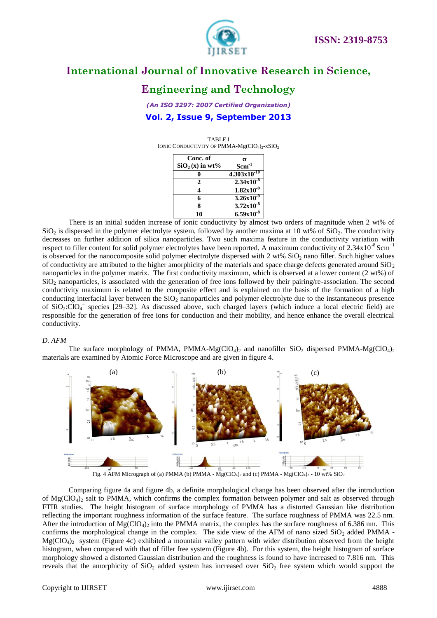

### **Engineering and Technology**

*(An ISO 3297: 2007 Certified Organization)* **Vol. 2, Issue 9, September 2013**

TABLE I IONIC CONDUCTIVITY OF PMMA- $Mg(CIO<sub>4</sub>)<sub>2</sub>$ -xSiO<sub>2</sub>

| Conc. of         | σ                          |
|------------------|----------------------------|
| $SiO2(x)$ in wt% | $Scm^{-1}$                 |
|                  | $4.303x10^{-10}$           |
|                  | $2.34x\overline{10^{-8}}$  |
|                  | $1.82x\overline{10^{-9}}$  |
|                  | $3.26x10^{-9}$             |
|                  | $3.72 \overline{x10^{-8}}$ |
| 10               | $6.59x10^{-8}$             |

There is an initial sudden increase of ionic conductivity by almost two orders of magnitude when 2 wt% of  $SiO<sub>2</sub>$  is dispersed in the polymer electrolyte system, followed by another maxima at 10 wt% of  $SiO<sub>2</sub>$ . The conductivity decreases on further addition of silica nanoparticles. Two such maxima feature in the conductivity variation with respect to filler content for solid polymer electrolytes have been reported. A maximum conductivity of  $2.34 \times 10^{-8}$  Scm<sup>-1</sup> is observed for the nanocomposite solid polymer electrolyte dispersed with  $2 \text{ wt\% SiO}_2$  nano filler. Such higher values of conductivity are attributed to the higher amorphicity of the materials and space charge defects generated around  $SiO<sub>2</sub>$ nanoparticles in the polymer matrix. The first conductivity maximum, which is observed at a lower content (2 wt%) of  $SiO<sub>2</sub>$  nanoparticles, is associated with the generation of free ions followed by their pairing/re-association. The second conductivity maximum is related to the composite effect and is explained on the basis of the formation of a high conducting interfacial layer between the  $SiO<sub>2</sub>$  nanoparticles and polymer electrolyte due to the instantaneous presence of  $SiO_2:ClO_4^-$  species [29–32]. As discussed above, such charged layers (which induce a local electric field) are responsible for the generation of free ions for conduction and their mobility, and hence enhance the overall electrical conductivity.

#### *D. AFM*

The surface morphology of PMMA, PMMA-Mg(ClO<sub>4</sub>)<sub>2</sub> and nanofiller SiO<sub>2</sub> dispersed PMMA-Mg(ClO<sub>4</sub>)<sub>2</sub> materials are examined by Atomic Force Microscope and are given in figure 4.



Comparing figure 4a and figure 4b, a definite morphological change has been observed after the introduction of Mg(ClO<sub>4</sub>)<sub>2</sub> salt to PMMA, which confirms the complex formation between polymer and salt as observed through FTIR studies. The height histogram of surface morphology of PMMA has a distorted Gaussian like distribution reflecting the important roughness information of the surface feature. The surface roughness of PMMA was 22.5 nm. After the introduction of  $Mg(CIO<sub>4</sub>)<sub>2</sub>$  into the PMMA matrix, the complex has the surface roughness of 6.386 nm. This confirms the morphological change in the complex. The side view of the AFM of nano sized  $SiO<sub>2</sub>$  added PMMA - $Mg(CIO<sub>4</sub>)<sub>2</sub>$  system (Figure 4c) exhibited a mountain valley pattern with wider distribution observed from the height histogram, when compared with that of filler free system (Figure 4b). For this system, the height histogram of surface morphology showed a distorted Gaussian distribution and the roughness is found to have increased to 7.816 nm. This reveals that the amorphicity of  $SiO<sub>2</sub>$  added system has increased over  $SiO<sub>2</sub>$  free system which would support the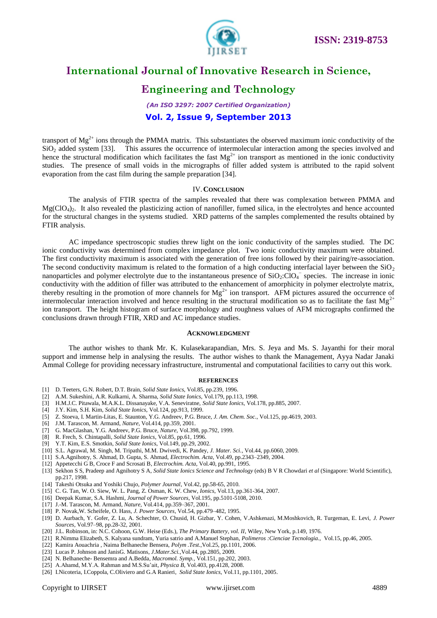

### **Engineering and Technology**

#### *(An ISO 3297: 2007 Certified Organization)* **Vol. 2, Issue 9, September 2013**

transport of  $Mg^{2+}$  ions through the PMMA matrix. This substantiates the observed maximum ionic conductivity of the  $SiO<sub>2</sub>$  added system [33]. This assures the occurrence of intermolecular interaction among the species involved and hence the structural modification which facilitates the fast  $Mg^{2+}$  ion transport as mentioned in the ionic conductivity studies. The presence of small voids in the micrographs of filler added system is attributed to the rapid solvent evaporation from the cast film during the sample preparation [34].

#### IV.**CONCLUSION**

The analysis of FTIR spectra of the samples revealed that there was complexation between PMMA and  $Mg(CIO<sub>4</sub>)$ . It also revealed the plasticizing action of nanofiller, fumed silica, in the electrolytes and hence accounted for the structural changes in the systems studied. XRD patterns of the samples complemented the results obtained by FTIR analysis.

AC impedance spectroscopic studies threw light on the ionic conductivity of the samples studied. The DC ionic conductivity was determined from complex impedance plot. Two ionic conductivity maximum were obtained. The first conductivity maximum is associated with the generation of free ions followed by their pairing/re-association. The second conductivity maximum is related to the formation of a high conducting interfacial layer between the  $SiO<sub>2</sub>$ nanoparticles and polymer electrolyte due to the instantaneous presence of  $SiO_2$ : $ClO<sub>4</sub>^-$  species. The increase in ionic conductivity with the addition of filler was attributed to the enhancement of amorphicity in polymer electrolyte matrix, thereby resulting in the promotion of more channels for  $Mg^{2+}$  ion transport. AFM pictures assured the occurrence of intermolecular interaction involved and hence resulting in the structural modification so as to facilitate the fast  $Mg^{2+}$ ion transport. The height histogram of surface morphology and roughness values of AFM micrographs confirmed the conclusions drawn through FTIR, XRD and AC impedance studies.

#### **ACKNOWLEDGMENT**

The author wishes to thank Mr. K. Kulasekarapandian, Mrs. S. Jeya and Ms. S. Jayanthi for their moral support and immense help in analysing the results. The author wishes to thank the Management, Ayya Nadar Janaki Ammal College for providing necessary infrastructure, instrumental and computational facilities to carry out this work.

#### **REFERENCES**

- [1] D. Teeters, G.N. Robert, D.T. Brain, *Solid State Ionics*, Vol.85, pp.239, 1996.
- [2] A.M. Sukeshini, A.R. Kulkarni, A. Sharma, *Solid State Ionics*, Vol.179, pp.113, 1998.
- [3] H.M.J.C. Pitawala, M.A.K.L. Dissanayake, V.A. Seneviratne, *Solid State Ionics*, Vol.178, pp.885, 2007.
- [4] J.Y. Kim, S.H. Kim, *Solid State Ionics*, Vol.124, pp.913, 1999.
- [5] Z. Stoeva, I. Martin-Litas, E. Staunton, Y.G. Andreev, P.G. Bruce, *J. Am. Chem. Soc.*, Vol.125, pp.4619, 2003.
- [6] J.M. Tarascon, M. Armand, *Nature*, Vol.414, pp.359, 2001.
- [7] G. MacGlashan, Y.G. Andreev, P.G. Bruce, *Nature*, Vol.398, pp.792, 1999.
- [8] R. Frech, S. Chintapalli, *Solid State Ionics*, Vol.85, pp.61, 1996.
- [9] Y.T. Kim, E.S. Smotkin, *Solid State Ionics*, Vol.149, pp.29, 2002.
- [10] S.L. Agrawal, M. Singh, M. Tripathi, M.M. Dwivedi, K. Pandey, *J. Mater. Sci.*, Vol.44, pp.6060, 2009.
- [11] S.A.Agnihotry, S. Ahmad, D. Gupta, S. Ahmad, *Electrochim. Acta*, Vol.49, pp.2343–2349, 2004.
- [12] Appetecchi G B, Croce F and Scrosati B, *Electrochim. Acta*, Vol.40, pp.991, 1995.
- [13] Sekhon S S, Pradeep and Agnihotry S A, *Solid State Ionics Science and Technology* (eds) B V R Chowdari *et al* (Singapore: World Scientific), pp.217, 1998.
- [14] Takeshi Otsuka and Yoshiki Chujo, *Polymer Journal*, Vol.42, pp.58-65, 2010.
- [15] C. G. Tan, W. O. Siew, W. L. Pang, Z. Osman, K. W. Chew, *Ionics*, Vol.13, pp.361-364, 2007.
- [16] Deepak Kumar, S.A. Hashmi, *Journal of Power Sources*, Vol.195, pp.5101-5108, 2010.
- [17] J.-M. Tarascon, M. Armand, *Nature*, Vol.414, pp.359–367, 2001.
- [18] P. Novak,W. Scheifele, O. Hass, *J. Power Sources*, Vol.54, pp.479–482, 1995.
- [19] D. Aurbach, Y. Gofer, Z. Lu, A. Schechter, O. Chusid, H. Gizbar, Y. Cohen, V.Ashkenazi, M.Moshkovich, R. Turgeman, E. Levi, *J. Power Sources*, Vol.97–98, pp.28-32, 2001.
- [20] J.L. Robinson, in: N.C. Cohoon, G.W. Heise (Eds.), *The Primary Battery, vol. II*, Wiley, New York, p.149, 1976.
- [21] R.Nimma Elizabeth, S. Kalyana sundram, Yuria satrio and A.Manuel Stephan, *Polimeros :Cienciae Tecnologia.,* Vol.15, pp.46, 2005.
- [22] Kamira Aouachria , Naima Belhaneche Bensera, *Polym .Test.,*Vol.25, pp.1101, 2006.
- [23] Lucas P. Johnson and JanisG. Matisons, *J.Mater.Sci.,*Vol.44, pp.2805, 2009.
- [24] N. Belhaneche- Bensemra and A.Bedda, *Macromol. Symp.,* Vol.151, pp.202, 2003.
- [25] A.Ahamd, M.Y.A. Rahman and M.S.Su'ait, *Physica B*, Vol.403, pp.4128, 2008.
- [26] I.Nicoteria, I.Coppola, C.Oliviero and G.A Ranieri, *Solid State Ionics*, Vol.11, pp.1101, 2005.